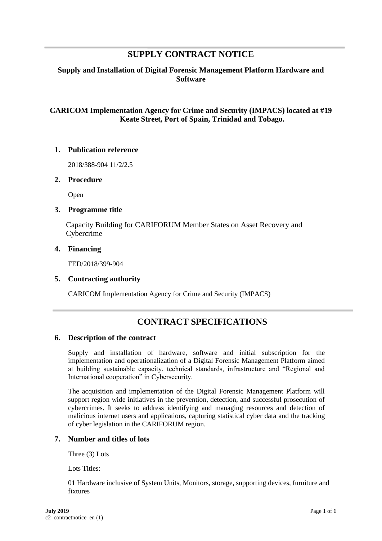# **SUPPLY CONTRACT NOTICE**

# **Supply and Installation of Digital Forensic Management Platform Hardware and Software**

# **CARICOM Implementation Agency for Crime and Security (IMPACS) located at #19 Keate Street, Port of Spain, Trinidad and Tobago.**

# **1. Publication reference**

2018/388-904 11/2/2.5

## **2. Procedure**

Open

# **3. Programme title**

Capacity Building for CARIFORUM Member States on Asset Recovery and Cybercrime

## **4. Financing**

FED/2018/399-904

# **5. Contracting authority**

CARICOM Implementation Agency for Crime and Security (IMPACS)

# **CONTRACT SPECIFICATIONS**

# **6. Description of the contract**

Supply and installation of hardware, software and initial subscription for the implementation and operationalization of a Digital Forensic Management Platform aimed at building sustainable capacity, technical standards, infrastructure and "Regional and International cooperation" in Cybersecurity.

The acquisition and implementation of the Digital Forensic Management Platform will support region wide initiatives in the prevention, detection, and successful prosecution of cybercrimes. It seeks to address identifying and managing resources and detection of malicious internet users and applications, capturing statistical cyber data and the tracking of cyber legislation in the CARIFORUM region.

# **7. Number and titles of lots**

Three (3) Lots

Lots Titles:

01 Hardware inclusive of System Units, Monitors, storage, supporting devices, furniture and fixtures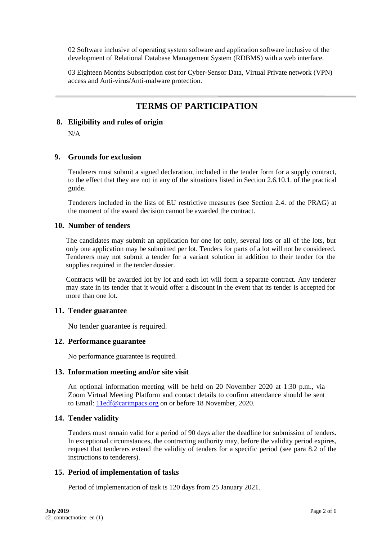02 Software inclusive of operating system software and application software inclusive of the development of Relational Database Management System (RDBMS) with a web interface.

03 Eighteen Months Subscription cost for Cyber-Sensor Data, Virtual Private network (VPN) access and Anti-virus/Anti-malware protection.

# **TERMS OF PARTICIPATION**

## **8. Eligibility and rules of origin**

N/A

## **9. Grounds for exclusion**

Tenderers must submit a signed declaration, included in the tender form for a supply contract, to the effect that they are not in any of the situations listed in Section 2.6.10.1. of the practical guide.

Tenderers included in the lists of EU restrictive measures (see Section 2.4. of the PRAG) at the moment of the award decision cannot be awarded the contract.

## **10. Number of tenders**

The candidates may submit an application for one lot only, several lots or all of the lots, but only one application may be submitted per lot. Tenders for parts of a lot will not be considered. Tenderers may not submit a tender for a variant solution in addition to their tender for the supplies required in the tender dossier.

Contracts will be awarded lot by lot and each lot will form a separate contract. Any tenderer may state in its tender that it would offer a discount in the event that its tender is accepted for more than one lot.

# **11. Tender guarantee**

No tender guarantee is required.

# **12. Performance guarantee**

No performance guarantee is required.

#### **13. Information meeting and/or site visit**

An optional information meeting will be held on 20 November 2020 at 1:30 p.m., via Zoom Virtual Meeting Platform and contact details to confirm attendance should be sent to Email: **11edf@carimpacs.org** on or before 18 November, 2020.

# **14. Tender validity**

Tenders must remain valid for a period of 90 days after the deadline for submission of tenders. In exceptional circumstances, the contracting authority may, before the validity period expires, request that tenderers extend the validity of tenders for a specific period (see para 8.2 of the instructions to tenderers).

# **15. Period of implementation of tasks**

Period of implementation of task is 120 days from 25 January 2021.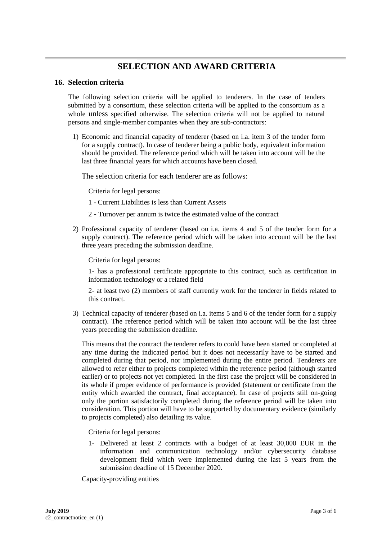# **SELECTION AND AWARD CRITERIA**

## **16. Selection criteria**

The following selection criteria will be applied to tenderers. In the case of tenders submitted by a consortium, these selection criteria will be applied to the consortium as a whole unless specified otherwise. The selection criteria will not be applied to natural persons and single-member companies when they are sub-contractors:

1) Economic and financial capacity of tenderer (based on i.a. item 3 of the tender form for a supply contract). In case of tenderer being a public body, equivalent information should be provided. The reference period which will be taken into account will be the last three financial years for which accounts have been closed.

The selection criteria for each tenderer are as follows:

Criteria for legal persons:

- 1 Current Liabilities is less than Current Assets
- 2 Turnover per annum is twice the estimated value of the contract
- 2) Professional capacity of tenderer (based on i.a. items 4 and 5 of the tender form for a supply contract). The reference period which will be taken into account will be the last three years preceding the submission deadline.

Criteria for legal persons:

1- has a professional certificate appropriate to this contract, such as certification in information technology or a related field

2- at least two (2) members of staff currently work for the tenderer in fields related to this contract.

3) Technical capacity of tenderer *(*based on i.a. items 5 and 6 of the tender form for a supply contract). The reference period which will be taken into account will be the last three years preceding the submission deadline.

This means that the contract the tenderer refers to could have been started or completed at any time during the indicated period but it does not necessarily have to be started and completed during that period, nor implemented during the entire period. Tenderers are allowed to refer either to projects completed within the reference period (although started earlier) or to projects not yet completed. In the first case the project will be considered in its whole if proper evidence of performance is provided (statement or certificate from the entity which awarded the contract, final acceptance). In case of projects still on-going only the portion satisfactorily completed during the reference period will be taken into consideration. This portion will have to be supported by documentary evidence (similarly to projects completed) also detailing its value.

Criteria for legal persons:

1- Delivered at least 2 contracts with a budget of at least 30,000 EUR in the information and communication technology and/or cybersecurity database development field which were implemented during the last 5 years from the submission deadline of 15 December 2020.

Capacity-providing entities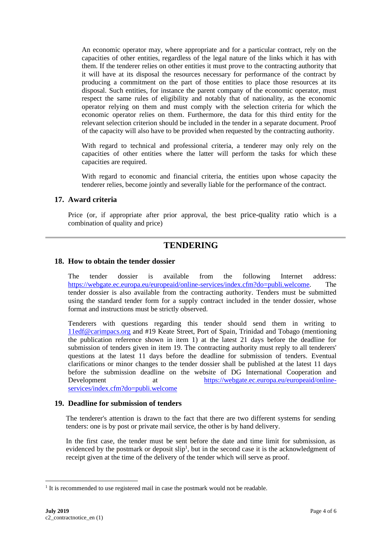An economic operator may, where appropriate and for a particular contract, rely on the capacities of other entities, regardless of the legal nature of the links which it has with them. If the tenderer relies on other entities it must prove to the contracting authority that it will have at its disposal the resources necessary for performance of the contract by producing a commitment on the part of those entities to place those resources at its disposal. Such entities, for instance the parent company of the economic operator, must respect the same rules of eligibility and notably that of nationality, as the economic operator relying on them and must comply with the selection criteria for which the economic operator relies on them. Furthermore, the data for this third entity for the relevant selection criterion should be included in the tender in a separate document. Proof of the capacity will also have to be provided when requested by the contracting authority.

With regard to technical and professional criteria, a tenderer may only rely on the capacities of other entities where the latter will perform the tasks for which these capacities are required.

With regard to economic and financial criteria, the entities upon whose capacity the tenderer relies, become jointly and severally liable for the performance of the contract.

## **17. Award criteria**

Price (or, if appropriate after prior approval, the best price-quality ratio which is a combination of quality and price)

# **TENDERING**

## **18. How to obtain the tender dossier**

The tender dossier is available from the following Internet address: [https://webgate.ec.europa.eu/europeaid/online-services/index.cfm?do=publi.welcome.](https://webgate.ec.europa.eu/europeaid/online-services/index.cfm?do=publi.welcome) The tender dossier is also available from the contracting authority. Tenders must be submitted using the standard tender form for a supply contract included in the tender dossier, whose format and instructions must be strictly observed.

Tenderers with questions regarding this tender should send them in writing to [11edf@carimpacs.org](mailto:11edf@carimpacs.org) and #19 Keate Street, Port of Spain, Trinidad and Tobago (mentioning the publication reference shown in item 1) at the latest 21 days before the deadline for submission of tenders given in item 19. The contracting authority must reply to all tenderers' questions at the latest 11 days before the deadline for submission of tenders. Eventual clarifications or minor changes to the tender dossier shall be published at the latest 11 days before the submission deadline on the website of DG International Cooperation and Development at [https://webgate.ec.europa.eu/europeaid/online](https://webgate.ec.europa.eu/europeaid/online-services/index.cfm?do=publi.welcome)[services/index.cfm?do=publi.welcome](https://webgate.ec.europa.eu/europeaid/online-services/index.cfm?do=publi.welcome)

#### **19. Deadline for submission of tenders**

The tenderer's attention is drawn to the fact that there are two different systems for sending tenders: one is by post or private mail service, the other is by hand delivery.

In the first case, the tender must be sent before the date and time limit for submission, as evidenced by the postmark or deposit  $\sinh^1$ , but in the second case it is the acknowledgment of receipt given at the time of the delivery of the tender which will serve as proof.

 $<sup>1</sup>$  It is recommended to use registered mail in case the postmark would not be readable.</sup>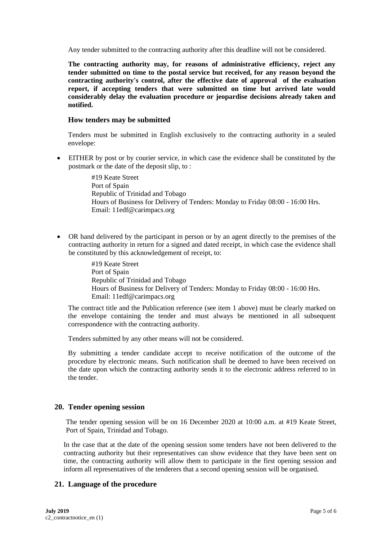Any tender submitted to the contracting authority after this deadline will not be considered.

**The contracting authority may, for reasons of administrative efficiency, reject any tender submitted on time to the postal service but received, for any reason beyond the contracting authority's control, after the effective date of approval of the evaluation report, if accepting tenders that were submitted on time but arrived late would considerably delay the evaluation procedure or jeopardise decisions already taken and notified.**

#### **How tenders may be submitted**

Tenders must be submitted in English exclusively to the contracting authority in a sealed envelope:

• EITHER by post or by courier service, in which case the evidence shall be constituted by the postmark or the date of the deposit slip, to :

> #19 Keate Street Port of Spain Republic of Trinidad and Tobago Hours of Business for Delivery of Tenders: Monday to Friday 08:00 - 16:00 Hrs. Email: 11edf@carimpacs.org

• OR hand delivered by the participant in person or by an agent directly to the premises of the contracting authority in return for a signed and dated receipt, in which case the evidence shall be constituted by this acknowledgement of receipt, to:

> #19 Keate Street Port of Spain Republic of Trinidad and Tobago Hours of Business for Delivery of Tenders: Monday to Friday 08:00 - 16:00 Hrs. Email: 11edf@carimpacs.org

The contract title and the Publication reference (see item 1 above) must be clearly marked on the envelope containing the tender and must always be mentioned in all subsequent correspondence with the contracting authority.

Tenders submitted by any other means will not be considered.

By submitting a tender candidate accept to receive notification of the outcome of the procedure by electronic means. Such notification shall be deemed to have been received on the date upon which the contracting authority sends it to the electronic address referred to in the tender.

#### **20. Tender opening session**

The tender opening session will be on 16 December 2020 at 10:00 a.m. at #19 Keate Street, Port of Spain, Trinidad and Tobago.

In the case that at the date of the opening session some tenders have not been delivered to the contracting authority but their representatives can show evidence that they have been sent on time, the contracting authority will allow them to participate in the first opening session and inform all representatives of the tenderers that a second opening session will be organised.

## **21. Language of the procedure**